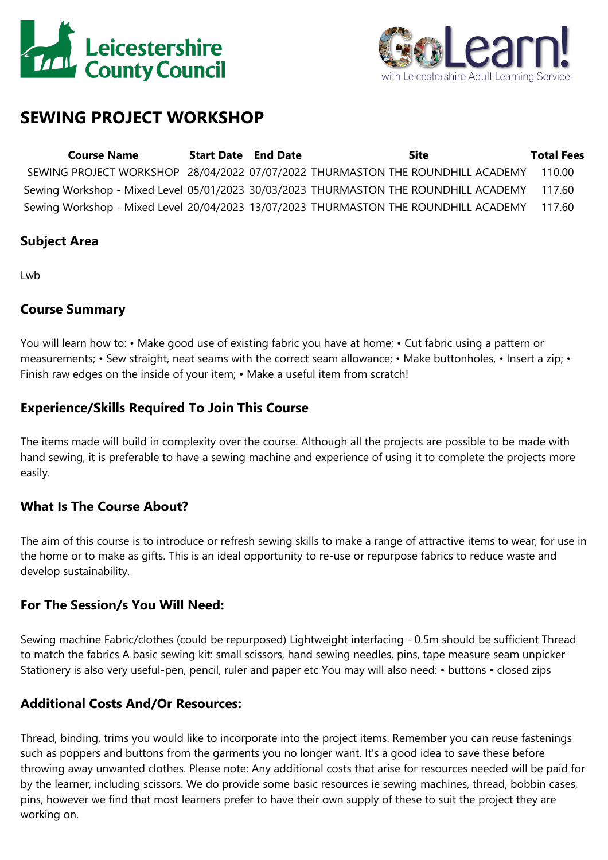



# **SEWING PROJECT WORKSHOP**

| <b>Course Name</b> | <b>Start Date</b> End Date | Site                                                                                        | <b>Total Fees</b> |
|--------------------|----------------------------|---------------------------------------------------------------------------------------------|-------------------|
|                    |                            | SEWING PROJECT WORKSHOP 28/04/2022 07/07/2022 THURMASTON THE ROUNDHILL ACADEMY              | 110.00            |
|                    |                            | Sewing Workshop - Mixed Level 05/01/2023 30/03/2023 THURMASTON THE ROUNDHILL ACADEMY 117.60 |                   |
|                    |                            | Sewing Workshop - Mixed Level 20/04/2023 13/07/2023 THURMASTON THE ROUNDHILL ACADEMY 117.60 |                   |

#### **Subject Area**

**Lwb** 

#### **Course Summary**

You will learn how to: • Make good use of existing fabric you have at home; • Cut fabric using <sup>a</sup> pattern or measurements; • Sew straight, neat seams with the correct seam allowance; • Make buttonholes, • Insert <sup>a</sup> zip; • Finish raw edges on the inside of your item; • Make <sup>a</sup> useful item from scratch!

## **Experience/Skills Required To Join This Course**

The items made will build in complexity over the course. Although all the projects are possible to be made with hand sewing, it is preferable to have <sup>a</sup> sewing machine and experience of using it to complete the projects more easily.

## **What Is The Course About?**

The aim of this course is to introduce or refresh sewing skills to make <sup>a</sup> range of attractive items to wear, for use in the home or to make as gifts. This is an ideal opportunity to re-use or repurpose fabrics to reduce waste and develop sustainability.

#### **For The Session/s You Will Need:**

Sewing machine Fabric/clothes (could be repurposed) Lightweight interfacing - 0.5m should be sufficient Thread to match the fabrics A basic sewing kit: small scissors, hand sewing needles, pins, tape measure seam unpicker Stationery is also very useful-pen, pencil, ruler and paper etc You may will also need: • buttons • closed zips

## **Additional Costs And/Or Resources:**

Thread, binding, trims you would like to incorporate into the project items. Remember you can reuse fastenings such as poppers and buttons from the garments you no longer want. It's <sup>a</sup> good idea to save these before throwing away unwanted clothes. Please note: Any additional costs that arise for resources needed will be paid for by the learner, including scissors. We do provide some basic resources ie sewing machines, thread, bobbin cases, pins, however we find that most learners prefer to have their own supply of these to suit the project they are working on.